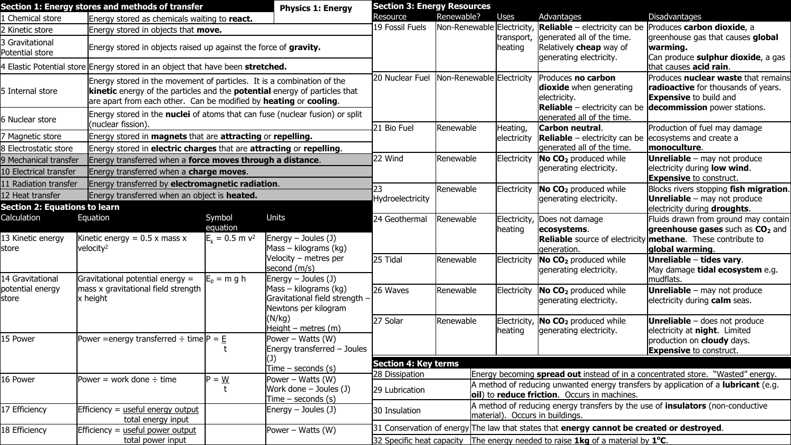|                                                                                                                                                                                                                                                      | Section 1: Energy stores and methods of transfer                                                             |                     | <b>Physics 1: Energy</b>                                                        | <b>Section 3: Energy Resources</b>                                                              |                                                                                           |                                                                                                                                            |                                                                                     |                                                                                                                                                                                                    |  |
|------------------------------------------------------------------------------------------------------------------------------------------------------------------------------------------------------------------------------------------------------|--------------------------------------------------------------------------------------------------------------|---------------------|---------------------------------------------------------------------------------|-------------------------------------------------------------------------------------------------|-------------------------------------------------------------------------------------------|--------------------------------------------------------------------------------------------------------------------------------------------|-------------------------------------------------------------------------------------|----------------------------------------------------------------------------------------------------------------------------------------------------------------------------------------------------|--|
| 1 Chemical store                                                                                                                                                                                                                                     | Energy stored as chemicals waiting to react.                                                                 |                     |                                                                                 | Resource                                                                                        | Renewable?                                                                                | <b>Uses</b>                                                                                                                                | Advantages                                                                          | Disadvantages                                                                                                                                                                                      |  |
| 2 Kinetic store                                                                                                                                                                                                                                      | Energy stored in objects that <b>move.</b>                                                                   |                     |                                                                                 | 19 Fossil Fuels                                                                                 | Non-Renewable Electricity                                                                 |                                                                                                                                            | <b>Reliable</b> – electricity can be Produces carbon dioxide, a                     |                                                                                                                                                                                                    |  |
| 3 Gravitational<br>Energy stored in objects raised up against the force of gravity.<br>Potential store                                                                                                                                               |                                                                                                              |                     |                                                                                 |                                                                                                 | transport,<br>heating                                                                     | generated all of the time.<br>Relatively cheap way of<br>generating electricity.                                                           | greenhouse gas that causes global<br>warming.<br>Can produce sulphur dioxide, a gas |                                                                                                                                                                                                    |  |
|                                                                                                                                                                                                                                                      | 4 Elastic Potential store Energy stored in an object that have been stretched.                               |                     |                                                                                 |                                                                                                 |                                                                                           |                                                                                                                                            |                                                                                     | that causes <b>acid rain</b> .                                                                                                                                                                     |  |
| Energy stored in the movement of particles. It is a combination of the<br>kinetic energy of the particles and the <b>potential</b> energy of particles that<br>5 Internal store<br>are apart from each other. Can be modified by heating or cooling. |                                                                                                              |                     |                                                                                 | 20 Nuclear Fuel                                                                                 | Non-Renewable Electricity                                                                 |                                                                                                                                            | Produces no carbon<br>dioxide when generating<br>electricity.                       | Produces nuclear waste that remains<br><b>radioactive</b> for thousands of years.<br><b>Expensive</b> to build and<br><b>Reliable</b> – electricity can be $ $ <b>decommission</b> power stations. |  |
| 6 Nuclear store                                                                                                                                                                                                                                      | Energy stored in the <b>nuclei</b> of atoms that can fuse (nuclear fusion) or split<br>(nuclear fission).    |                     |                                                                                 | 21 Bio Fuel                                                                                     | Renewable                                                                                 | Heating,                                                                                                                                   | generated all of the time.<br>Carbon neutral.                                       | Production of fuel may damage                                                                                                                                                                      |  |
| 7 Magnetic store                                                                                                                                                                                                                                     | Energy stored in magnets that are attracting or repelling.                                                   |                     |                                                                                 |                                                                                                 |                                                                                           | electricity                                                                                                                                | <b>Reliable</b> – electricity can be ecosystems and create a                        |                                                                                                                                                                                                    |  |
| 8 Electrostatic store                                                                                                                                                                                                                                | Energy stored in electric charges that are attracting or repelling.                                          |                     |                                                                                 |                                                                                                 |                                                                                           |                                                                                                                                            | generated all of the time.                                                          | monoculture.                                                                                                                                                                                       |  |
| 9 Mechanical transfer<br>10 Electrical transfer                                                                                                                                                                                                      | Energy transferred when a force moves through a distance.<br>Energy transferred when a <b>charge moves</b> . |                     |                                                                                 | 22 Wind                                                                                         | Renewable                                                                                 | Electricity                                                                                                                                | No CO <sub>2</sub> produced while<br>generating electricity.                        | <b>Unreliable</b> - may not produce<br>electricity during <b>low wind</b> .<br><b>Expensive</b> to construct.                                                                                      |  |
| 11 Radiation transfer                                                                                                                                                                                                                                | Energy transferred by electromagnetic radiation.                                                             |                     |                                                                                 |                                                                                                 | Renewable                                                                                 | Electricity                                                                                                                                | No CO <sub>2</sub> produced while                                                   | Blocks rivers stopping fish migration.                                                                                                                                                             |  |
| 12 Heat transfer<br>Energy transferred when an object is <b>heated.</b><br><b>Section 2: Equations to learn</b>                                                                                                                                      |                                                                                                              |                     |                                                                                 | Hydroelectricity                                                                                |                                                                                           |                                                                                                                                            | generating electricity.                                                             | <b>Unreliable</b> – may not produce<br>electricity during <b>droughts</b> .                                                                                                                        |  |
| Calculation                                                                                                                                                                                                                                          | Equation                                                                                                     | Symbol<br>equation  | Units                                                                           | 24 Geothermal                                                                                   | Renewable                                                                                 | Electricity<br>heating                                                                                                                     | Does not damage<br>ecosystems.                                                      | Fluids drawn from ground may contain<br><b>greenhouse gases</b> such as CO <sub>2</sub> and                                                                                                        |  |
| 13 Kinetic energy<br>store                                                                                                                                                                                                                           | Kinetic energy = $0.5 \times$ mass x<br>velocity <sup>2</sup>                                                | $E_k = 0.5$ m $v^2$ | $\text{Energy} - \text{Joules (J)}$<br>Mass – kilograms (kg)                    |                                                                                                 |                                                                                           |                                                                                                                                            | generation.                                                                         | <b>Reliable</b> source of electricity <b>methane</b> . These contribute to<br>global warming.                                                                                                      |  |
| 14 Gravitational                                                                                                                                                                                                                                     | Gravitational potential energy =                                                                             | $E_p = m g h$       | Velocity - metres per<br>second (m/s)<br>Energy $-$ Joules (J)                  | 25 Tidal                                                                                        | Renewable                                                                                 | Electricity                                                                                                                                | No CO <sub>2</sub> produced while<br>generating electricity.                        | Unreliable – tides vary.<br>May damage tidal ecosystem e.g.<br>mudflats.                                                                                                                           |  |
| potential energy<br>store                                                                                                                                                                                                                            | mass x gravitational field strength<br>x height                                                              |                     | Mass - kilograms (kg)<br>Gravitational field strength -<br>Newtons per kilogram | 26 Waves                                                                                        | Renewable                                                                                 | Electricity                                                                                                                                | No CO <sub>2</sub> produced while<br>generating electricity.                        | <b>Unreliable</b> - may not produce<br>electricity during <b>calm</b> seas.                                                                                                                        |  |
|                                                                                                                                                                                                                                                      |                                                                                                              |                     | (N/kg)<br>Height – metres $(m)$                                                 | 27 Solar                                                                                        | Renewable                                                                                 | Electricity<br>heating                                                                                                                     | No CO <sub>2</sub> produced while<br>generating electricity.                        | <b>Unreliable</b> - does not produce<br>electricity at <b>night</b> . Limited                                                                                                                      |  |
| 15 Power                                                                                                                                                                                                                                             | Power = energy transferred $\div$ time $ P = E $                                                             |                     | Power - Watts (W)<br>Energy transferred - Joules                                |                                                                                                 |                                                                                           |                                                                                                                                            |                                                                                     | production on <b>cloudy</b> days.<br><b>Expensive</b> to construct.                                                                                                                                |  |
|                                                                                                                                                                                                                                                      |                                                                                                              |                     | $Time - seconds(s)$                                                             | <b>Section 4: Key terms</b>                                                                     |                                                                                           |                                                                                                                                            |                                                                                     |                                                                                                                                                                                                    |  |
| 16 Power                                                                                                                                                                                                                                             | Power = work done $\div$ time                                                                                | $P = \underline{W}$ | Power – Watts $(W)$                                                             | <b>28 Dissipation</b>                                                                           |                                                                                           | Energy becoming spread out instead of in a concentrated store. "Wasted" energy.                                                            |                                                                                     |                                                                                                                                                                                                    |  |
|                                                                                                                                                                                                                                                      |                                                                                                              |                     | Work done $-$ Joules (J)<br>$Time - seconds(s)$                                 | 29 Lubrication                                                                                  |                                                                                           | A method of reducing unwanted energy transfers by application of a <b>lubricant</b> (e.g.<br>joil) to reduce friction. Occurs in machines. |                                                                                     |                                                                                                                                                                                                    |  |
| 17 Efficiency                                                                                                                                                                                                                                        | Efficiency = useful energy output<br>total energy input                                                      |                     | Energy - Joules (J)                                                             | 30 Insulation                                                                                   |                                                                                           |                                                                                                                                            | material). Occurs in buildings.                                                     | A method of reducing energy transfers by the use of <i>insulators</i> (non-conductive                                                                                                              |  |
| 18 Efficiency                                                                                                                                                                                                                                        | Efficiency = useful power output                                                                             |                     | Power – Watts (W)                                                               |                                                                                                 | 31 Conservation of energy The law that states that energy cannot be created or destroyed. |                                                                                                                                            |                                                                                     |                                                                                                                                                                                                    |  |
|                                                                                                                                                                                                                                                      | total power input                                                                                            |                     |                                                                                 | 32 Specific heat capacity The energy needed to raise <b>1kg</b> of a material by $1^{\circ}C$ . |                                                                                           |                                                                                                                                            |                                                                                     |                                                                                                                                                                                                    |  |